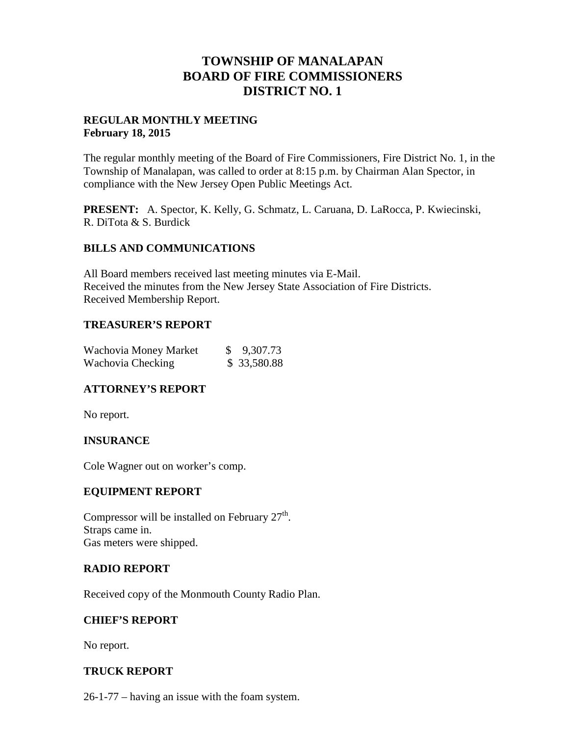# **TOWNSHIP OF MANALAPAN BOARD OF FIRE COMMISSIONERS DISTRICT NO. 1**

# **REGULAR MONTHLY MEETING February 18, 2015**

The regular monthly meeting of the Board of Fire Commissioners, Fire District No. 1, in the Township of Manalapan, was called to order at 8:15 p.m. by Chairman Alan Spector, in compliance with the New Jersey Open Public Meetings Act.

**PRESENT:** A. Spector, K. Kelly, G. Schmatz, L. Caruana, D. LaRocca, P. Kwiecinski, R. DiTota & S. Burdick

# **BILLS AND COMMUNICATIONS**

All Board members received last meeting minutes via E-Mail. Received the minutes from the New Jersey State Association of Fire Districts. Received Membership Report.

# **TREASURER'S REPORT**

| Wachovia Money Market | \$ 9,307.73 |
|-----------------------|-------------|
| Wachovia Checking     | \$33,580.88 |

# **ATTORNEY'S REPORT**

No report.

# **INSURANCE**

Cole Wagner out on worker's comp.

#### **EQUIPMENT REPORT**

Compressor will be installed on February  $27<sup>th</sup>$ . Straps came in. Gas meters were shipped.

#### **RADIO REPORT**

Received copy of the Monmouth County Radio Plan.

#### **CHIEF'S REPORT**

No report.

# **TRUCK REPORT**

26-1-77 – having an issue with the foam system.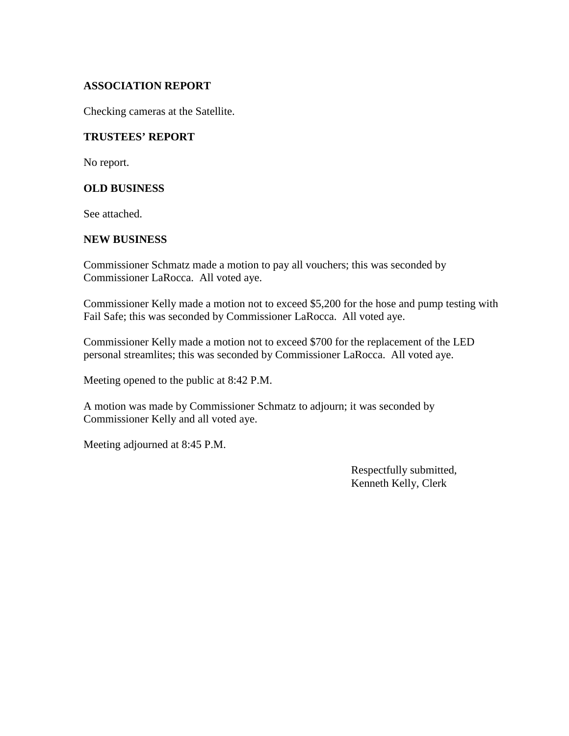# **ASSOCIATION REPORT**

Checking cameras at the Satellite.

#### **TRUSTEES' REPORT**

No report.

#### **OLD BUSINESS**

See attached.

#### **NEW BUSINESS**

Commissioner Schmatz made a motion to pay all vouchers; this was seconded by Commissioner LaRocca. All voted aye.

Commissioner Kelly made a motion not to exceed \$5,200 for the hose and pump testing with Fail Safe; this was seconded by Commissioner LaRocca. All voted aye.

Commissioner Kelly made a motion not to exceed \$700 for the replacement of the LED personal streamlites; this was seconded by Commissioner LaRocca. All voted aye.

Meeting opened to the public at 8:42 P.M.

A motion was made by Commissioner Schmatz to adjourn; it was seconded by Commissioner Kelly and all voted aye.

Meeting adjourned at 8:45 P.M.

Respectfully submitted, Kenneth Kelly, Clerk